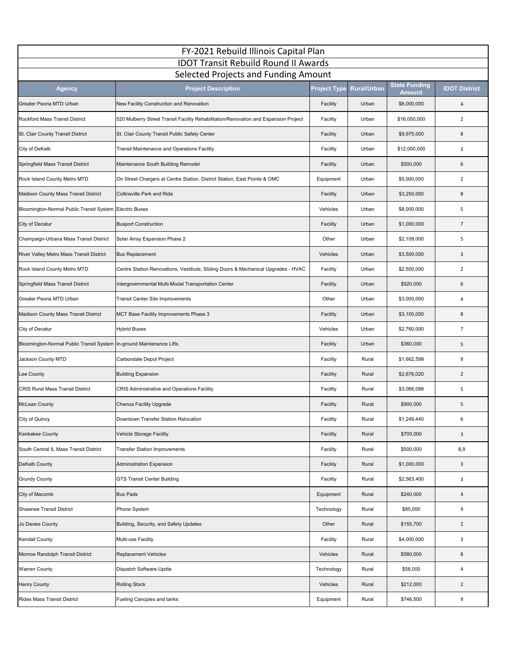| FY-2021 Rebuild Illinois Capital Plan                                               |                                                                                      |                     |                    |                              |                      |  |  |  |
|-------------------------------------------------------------------------------------|--------------------------------------------------------------------------------------|---------------------|--------------------|------------------------------|----------------------|--|--|--|
| <b>IDOT Transit Rebuild Round II Awards</b><br>Selected Projects and Funding Amount |                                                                                      |                     |                    |                              |                      |  |  |  |
|                                                                                     | <b>Project Description</b>                                                           | <b>Project Type</b> | <b>Rural/Urban</b> | <b>State Funding</b>         | <b>IDOT District</b> |  |  |  |
| <b>Agency</b><br>Greater Peoria MTD Urban                                           | New Facility Construction and Renovation                                             | Facility            | Urban              | <b>Amount</b><br>\$8,000,000 | $\overline{4}$       |  |  |  |
| Rockford Mass Transit District                                                      |                                                                                      |                     | Urban              |                              | $\overline{2}$       |  |  |  |
|                                                                                     | 520 Mulberry Street Transit Facility Rehabilitation/Renovation and Expansion Project | Facility            |                    | \$16,000,000                 |                      |  |  |  |
| St. Clair County Transit District                                                   | St. Clair County Transit Public Safety Center                                        | Facility            | Urban              | \$9,975,000                  | 8                    |  |  |  |
| City of DeKalb                                                                      | Transit Maintenance and Operations Facility                                          | Facility            | Urban              | \$12,000,000                 | 3                    |  |  |  |
| Springfield Mass Transit District                                                   | Maintenance South Building Remodel                                                   | Facility            | Urban              | \$500,000                    | 6                    |  |  |  |
| Rock Island County Metro MTD                                                        | On Street Chargers at Centre Station, District Station, East Pointe & OMC            | Equipment           | Urban              | \$5,000,000                  | $\overline{2}$       |  |  |  |
| Madison County Mass Transit District                                                | Collinsville Park and Ride                                                           | Facility            | Urban              | \$3,250,000                  | 8                    |  |  |  |
| Bloomington-Normal Public Transit System Electric Buses                             |                                                                                      | Vehicles            | Urban              | \$8,000,000                  | 5                    |  |  |  |
| City of Decatur                                                                     | <b>Busport Construction</b>                                                          | Facility            | Urban              | \$1,000,000                  | $\overline{7}$       |  |  |  |
| Champaign-Urbana Mass Transit District                                              | Solar Array Expansion Phase 2                                                        | Other               | Urban              | \$2,109,000                  | 5                    |  |  |  |
| River Valley Metro Mass Transit District                                            | <b>Bus Replacement</b>                                                               | Vehicles            | Urban              | \$3,500,000                  | 3                    |  |  |  |
| Rock Island County Metro MTD                                                        | Centre Station Renovations, Vestibule, Sliding Doors & Mechanical Upgrades - HVAC    | Facility            | Urban              | \$2,500,000                  | $\overline{2}$       |  |  |  |
| Springfield Mass Transit District                                                   | Intergovernmental Multi-Modal Transportation Center                                  | Facility            | Urban              | \$920,000                    | 6                    |  |  |  |
| Greater Peoria MTD Urban                                                            | Transit Center Site Improvements                                                     | Other               | Urban              | \$3,000,000                  | 4                    |  |  |  |
| <b>Madison County Mass Transit District</b>                                         | MCT Base Facility Improvements Phase 3                                               | Facility            | Urban              | \$3,100,000                  | 8                    |  |  |  |
| City of Decatur                                                                     | <b>Hybrid Buses</b>                                                                  | Vehicles            | Urban              | \$2,760,000                  | $\overline{7}$       |  |  |  |
| Bloomington-Normal Public Transit System In-ground Maintenance Lifts                |                                                                                      | Facility            | Urban              | \$360,000                    | 5                    |  |  |  |
| Jackson County MTD                                                                  | Carbondale Depot Project                                                             | Facility            | Rural              | \$1,662,599                  | 9                    |  |  |  |
| Lee County                                                                          | <b>Building Expansion</b>                                                            | Facility            | Rural              | \$2,676,020                  | $\overline{2}$       |  |  |  |
| <b>CRIS Rural Mass Transit District</b>                                             | <b>CRIS Administrative and Operations Facility</b>                                   | Facility            | Rural              | \$3,066,088                  | 5                    |  |  |  |
| <b>McLean County</b>                                                                | Chenoa Facility Upgrade                                                              | Facility            | Rural              | \$900,000                    | 5                    |  |  |  |
| City of Quincy                                                                      | Downtown Transfer Station Relocation                                                 | Facility            | Rural              | \$1,249,440                  | 6                    |  |  |  |
| Kankakee County                                                                     | Vehicle Storage Facility                                                             | Facility            | Rural              | \$700,000                    | 3                    |  |  |  |
| South Central IL Mass Transit District                                              | <b>Transfer Station Improvements</b>                                                 | Facility            | Rural              | \$500,000                    | 8,9                  |  |  |  |
| DeKalb County                                                                       | Administration Expansion                                                             | Facility            | Rural              | \$1,000,000                  | 3                    |  |  |  |
| <b>Grundy County</b>                                                                | <b>GTS Transit Center Building</b>                                                   | Facility            | Rural              | \$2,563,400                  | 3                    |  |  |  |
| City of Macomb                                                                      | <b>Bus Pads</b>                                                                      | Equipment           | Rural              | \$240,000                    | $\overline{4}$       |  |  |  |
| Shawnee Transit District                                                            | Phone System                                                                         | Technology          | Rural              | \$85,000                     | 9                    |  |  |  |
| Jo Davies County                                                                    | Building, Security, and Safety Updates                                               | Other               | Rural              | \$155,700                    | $\overline{2}$       |  |  |  |
| <b>Kendall County</b>                                                               | Multi-use Facility                                                                   | Facility            | Rural              | \$4,000,000                  | 3                    |  |  |  |
| Monroe Randolph Transit District                                                    | <b>Replacement Vehicles</b>                                                          | Vehicles            | Rural              | \$580,000                    | 8                    |  |  |  |
| <b>Warren County</b>                                                                | Dispatch Software Updte                                                              | Technology          | Rural              | \$58,000                     | 4                    |  |  |  |
| <b>Henry County</b>                                                                 | <b>Rolling Stock</b>                                                                 | Vehicles            | Rural              | \$212,000                    | $\overline{2}$       |  |  |  |
| <b>Rides Mass Transit District</b>                                                  | Fueling Canopies and tanks                                                           | Equipment           | Rural              | \$746,500                    | 9                    |  |  |  |
|                                                                                     |                                                                                      |                     |                    |                              |                      |  |  |  |